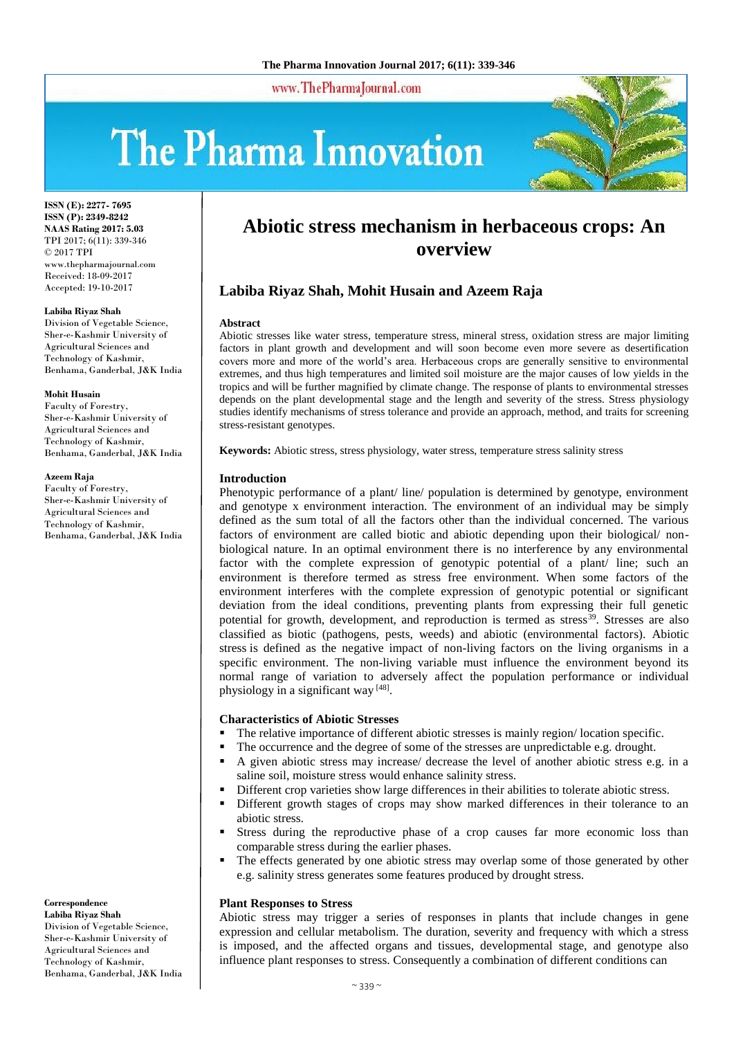www.ThePharmaJournal.com

# The Pharma Innovation



**ISSN (E): 2277- 7695 ISSN (P): 2349-8242 NAAS Rating 2017: 5.03** TPI 2017; 6(11): 339-346 © 2017 TPI www.thepharmajournal.com Received: 18-09-2017 Accepted: 19-10-2017

#### **Labiba Riyaz Shah**

Division of Vegetable Science, Sher-e-Kashmir University of Agricultural Sciences and Technology of Kashmir, Benhama, Ganderbal, J&K India

#### **Mohit Husain**

Faculty of Forestry, Sher-e-Kashmir University of Agricultural Sciences and Technology of Kashmir, Benhama, Ganderbal, J&K India

#### **Azeem Raja**

Faculty of Forestry, Sher-e-Kashmir University of Agricultural Sciences and Technology of Kashmir, Benhama, Ganderbal, J&K India

#### **Correspondence**

**Labiba Riyaz Shah** Division of Vegetable Science, Sher-e-Kashmir University of Agricultural Sciences and Technology of Kashmir, Benhama, Ganderbal, J&K India

# **Abiotic stress mechanism in herbaceous crops: An overview**

# **Labiba Riyaz Shah, Mohit Husain and Azeem Raja**

#### **Abstract**

Abiotic stresses like water stress, temperature stress, mineral stress, oxidation stress are major limiting factors in plant growth and development and will soon become even more severe as desertification covers more and more of the world's area. Herbaceous crops are generally sensitive to environmental extremes, and thus high temperatures and limited soil moisture are the major causes of low yields in the tropics and will be further magnified by climate change. The response of plants to environmental stresses depends on the plant developmental stage and the length and severity of the stress. Stress physiology studies identify mechanisms of stress tolerance and provide an approach, method, and traits for screening stress-resistant genotypes.

**Keywords:** Abiotic stress, stress physiology, water stress, temperature stress salinity stress

#### **Introduction**

Phenotypic performance of a plant/ line/ population is determined by genotype, environment and genotype x environment interaction. The environment of an individual may be simply defined as the sum total of all the factors other than the individual concerned. The various factors of environment are called biotic and abiotic depending upon their biological/ nonbiological nature. In an optimal environment there is no interference by any environmental factor with the complete expression of genotypic potential of a plant/ line; such an environment is therefore termed as stress free environment. When some factors of the environment interferes with the complete expression of genotypic potential or significant deviation from the ideal conditions, preventing plants from expressing their full genetic potential for growth, development, and reproduction is termed as stress<sup>39</sup>. Stresses are also classified as biotic (pathogens, pests, weeds) and abiotic (environmental factors). Abiotic stress is defined as the negative impact of non-living factors on the living organisms in a specific environment. The non-living variable must influence the environment beyond its normal range of variation to adversely affect the population performance or individual physiology in a significant way [48].

#### **Characteristics of Abiotic Stresses**

- The relative importance of different abiotic stresses is mainly region/ location specific.
- The occurrence and the degree of some of the stresses are unpredictable e.g. drought.
- A given abiotic stress may increase/ decrease the level of another abiotic stress e.g. in a saline soil, moisture stress would enhance salinity stress.
- Different crop varieties show large differences in their abilities to tolerate abiotic stress.
- Different growth stages of crops may show marked differences in their tolerance to an abiotic stress.
- Stress during the reproductive phase of a crop causes far more economic loss than comparable stress during the earlier phases.
- The effects generated by one abiotic stress may overlap some of those generated by other e.g. salinity stress generates some features produced by drought stress.

#### **Plant Responses to Stress**

Abiotic stress may trigger a series of responses in plants that include changes in gene expression and cellular metabolism. The duration, severity and frequency with which a stress is imposed, and the affected organs and tissues, developmental stage, and genotype also influence plant responses to stress. Consequently a combination of different conditions can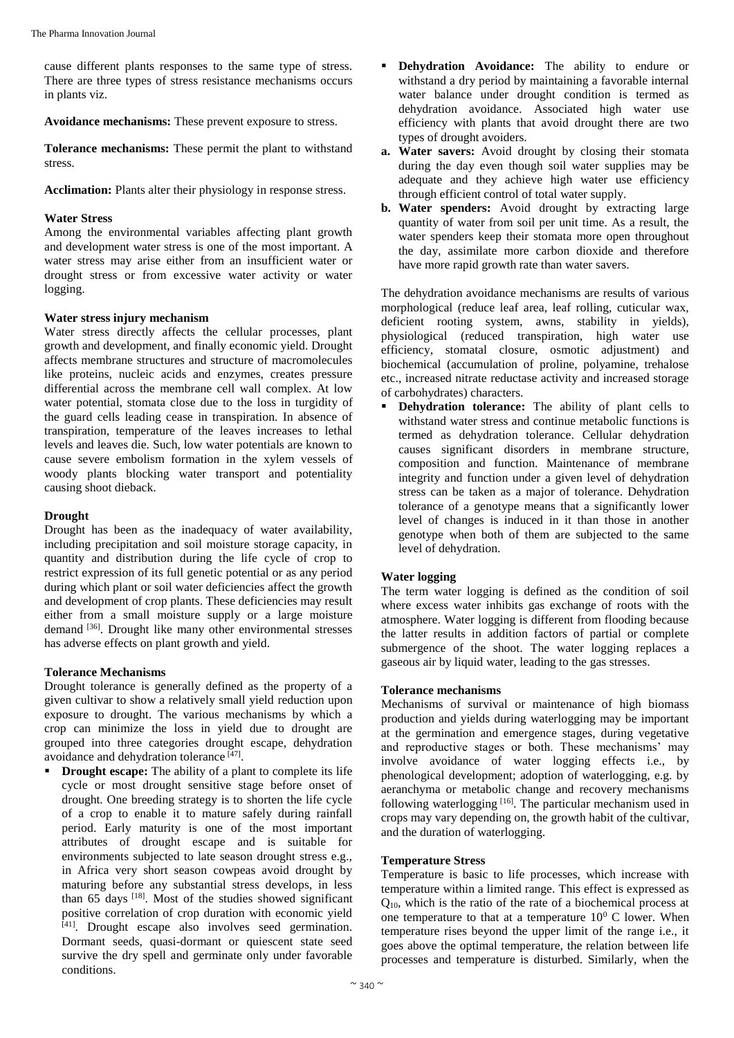cause different plants responses to the same type of stress. There are three types of stress resistance mechanisms occurs in plants viz.

**Avoidance mechanisms:** These prevent exposure to stress.

**Tolerance mechanisms:** These permit the plant to withstand stress.

**Acclimation:** Plants alter their physiology in response stress.

#### **Water Stress**

Among the environmental variables affecting plant growth and development water stress is one of the most important. A water stress may arise either from an insufficient water or drought stress or from excessive water activity or water logging.

#### **Water stress injury mechanism**

Water stress directly affects the cellular processes, plant growth and development, and finally economic yield. Drought affects membrane structures and structure of macromolecules like proteins, nucleic acids and enzymes, creates pressure differential across the membrane cell wall complex. At low water potential, stomata close due to the loss in turgidity of the guard cells leading cease in transpiration. In absence of transpiration, temperature of the leaves increases to lethal levels and leaves die. Such, low water potentials are known to cause severe embolism formation in the xylem vessels of woody plants blocking water transport and potentiality causing shoot dieback.

#### **Drought**

Drought has been as the inadequacy of water availability, including precipitation and soil moisture storage capacity, in quantity and distribution during the life cycle of crop to restrict expression of its full genetic potential or as any period during which plant or soil water deficiencies affect the growth and development of crop plants. These deficiencies may result either from a small moisture supply or a large moisture demand <sup>[36]</sup>. Drought like many other environmental stresses has adverse effects on plant growth and yield.

# **Tolerance Mechanisms**

Drought tolerance is generally defined as the property of a given cultivar to show a relatively small yield reduction upon exposure to drought. The various mechanisms by which a crop can minimize the loss in yield due to drought are grouped into three categories drought escape, dehydration avoidance and dehydration tolerance [47].

**Drought escape:** The ability of a plant to complete its life cycle or most drought sensitive stage before onset of drought. One breeding strategy is to shorten the life cycle of a crop to enable it to mature safely during rainfall period. Early maturity is one of the most important attributes of drought escape and is suitable for environments subjected to late season drought stress e.g., in Africa very short season cowpeas avoid drought by maturing before any substantial stress develops, in less than  $65$  days  $^{[18]}$ . Most of the studies showed significant positive correlation of crop duration with economic yield [41] . Drought escape also involves seed germination. Dormant seeds, quasi-dormant or quiescent state seed survive the dry spell and germinate only under favorable conditions.

- **Dehydration Avoidance:** The ability to endure or withstand a dry period by maintaining a favorable internal water balance under drought condition is termed as dehydration avoidance. Associated high water use efficiency with plants that avoid drought there are two types of drought avoiders.
- **a. Water savers:** Avoid drought by closing their stomata during the day even though soil water supplies may be adequate and they achieve high water use efficiency through efficient control of total water supply.
- **b. Water spenders:** Avoid drought by extracting large quantity of water from soil per unit time. As a result, the water spenders keep their stomata more open throughout the day, assimilate more carbon dioxide and therefore have more rapid growth rate than water savers.

The dehydration avoidance mechanisms are results of various morphological (reduce leaf area, leaf rolling, cuticular wax, deficient rooting system, awns, stability in vields). physiological (reduced transpiration, high water use efficiency, stomatal closure, osmotic adjustment) and biochemical (accumulation of proline, polyamine, trehalose etc., increased nitrate reductase activity and increased storage of carbohydrates) characters.

 **Dehydration tolerance:** The ability of plant cells to withstand water stress and continue metabolic functions is termed as dehydration tolerance. Cellular dehydration causes significant disorders in membrane structure, composition and function. Maintenance of membrane integrity and function under a given level of dehydration stress can be taken as a major of tolerance. Dehydration tolerance of a genotype means that a significantly lower level of changes is induced in it than those in another genotype when both of them are subjected to the same level of dehydration.

# **Water logging**

The term water logging is defined as the condition of soil where excess water inhibits gas exchange of roots with the atmosphere. Water logging is different from flooding because the latter results in addition factors of partial or complete submergence of the shoot. The water logging replaces a gaseous air by liquid water, leading to the gas stresses.

# **Tolerance mechanisms**

Mechanisms of survival or maintenance of high biomass production and yields during waterlogging may be important at the germination and emergence stages, during vegetative and reproductive stages or both. These mechanisms' may involve avoidance of water logging effects i.e., by phenological development; adoption of waterlogging, e.g. by aeranchyma or metabolic change and recovery mechanisms following waterlogging <a>[16]</a>. The particular mechanism used in crops may vary depending on, the growth habit of the cultivar, and the duration of waterlogging.

# **Temperature Stress**

Temperature is basic to life processes, which increase with temperature within a limited range. This effect is expressed as  $Q_{10}$ , which is the ratio of the rate of a biochemical process at one temperature to that at a temperature  $10^0$  C lower. When temperature rises beyond the upper limit of the range i.e., it goes above the optimal temperature, the relation between life processes and temperature is disturbed. Similarly, when the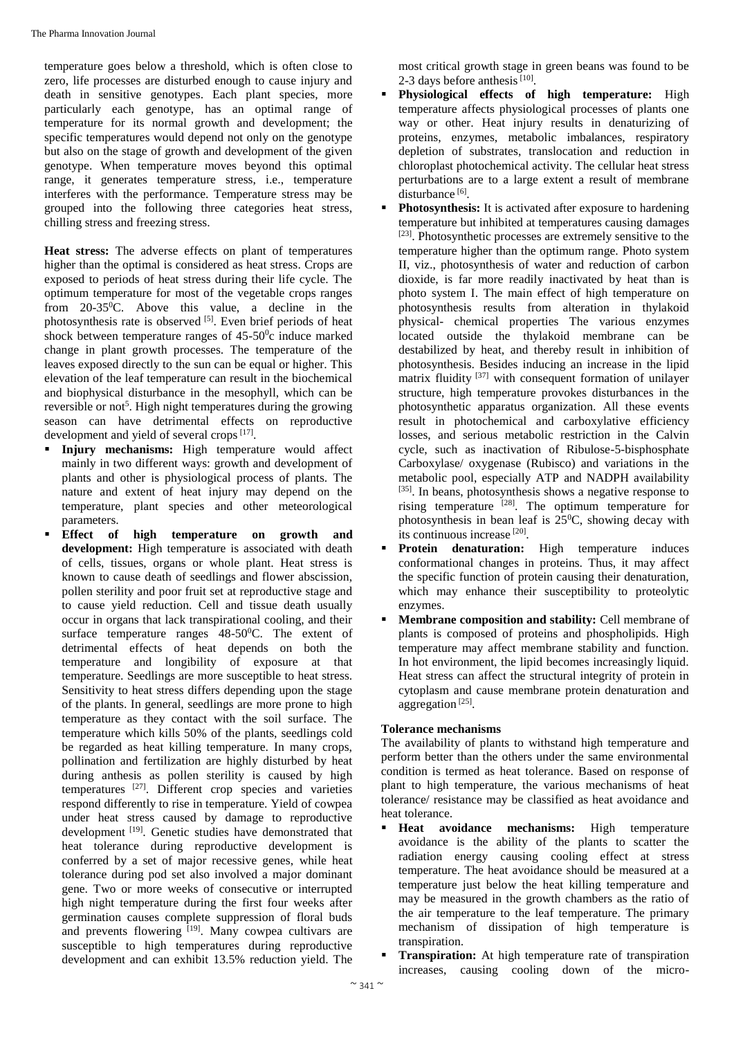temperature goes below a threshold, which is often close to zero, life processes are disturbed enough to cause injury and death in sensitive genotypes. Each plant species, more particularly each genotype, has an optimal range of temperature for its normal growth and development; the specific temperatures would depend not only on the genotype but also on the stage of growth and development of the given genotype. When temperature moves beyond this optimal range, it generates temperature stress, i.e., temperature interferes with the performance. Temperature stress may be grouped into the following three categories heat stress, chilling stress and freezing stress.

**Heat stress:** The adverse effects on plant of temperatures higher than the optimal is considered as heat stress. Crops are exposed to periods of heat stress during their life cycle. The optimum temperature for most of the vegetable crops ranges from  $20-35$ <sup>o</sup>C. Above this value, a decline in the photosynthesis rate is observed [5]. Even brief periods of heat shock between temperature ranges of  $45{\text -}50^{\circ}$ c induce marked change in plant growth processes. The temperature of the leaves exposed directly to the sun can be equal or higher. This elevation of the leaf temperature can result in the biochemical and biophysical disturbance in the mesophyll, which can be reversible or not<sup>5</sup>. High night temperatures during the growing season can have detrimental effects on reproductive development and yield of several crops<sup>[17]</sup>.

- **Injury mechanisms:** High temperature would affect mainly in two different ways: growth and development of plants and other is physiological process of plants. The nature and extent of heat injury may depend on the temperature, plant species and other meteorological parameters.
- **Effect of high temperature on growth and development:** High temperature is associated with death of cells, tissues, organs or whole plant. Heat stress is known to cause death of seedlings and flower abscission, pollen sterility and poor fruit set at reproductive stage and to cause yield reduction. Cell and tissue death usually occur in organs that lack transpirational cooling, and their surface temperature ranges  $48-50$ <sup>o</sup>C. The extent of detrimental effects of heat depends on both the temperature and longibility of exposure at that temperature. Seedlings are more susceptible to heat stress. Sensitivity to heat stress differs depending upon the stage of the plants. In general, seedlings are more prone to high temperature as they contact with the soil surface. The temperature which kills 50% of the plants, seedlings cold be regarded as heat killing temperature. In many crops, pollination and fertilization are highly disturbed by heat during anthesis as pollen sterility is caused by high temperatures [27] . Different crop species and varieties respond differently to rise in temperature. Yield of cowpea under heat stress caused by damage to reproductive development [19]. Genetic studies have demonstrated that heat tolerance during reproductive development is conferred by a set of major recessive genes, while heat tolerance during pod set also involved a major dominant gene. Two or more weeks of consecutive or interrupted high night temperature during the first four weeks after germination causes complete suppression of floral buds and prevents flowering [19]. Many cowpea cultivars are susceptible to high temperatures during reproductive development and can exhibit 13.5% reduction yield. The

most critical growth stage in green beans was found to be 2-3 days before anthesis  $[10]$ .

- **Physiological effects of high temperature:** High temperature affects physiological processes of plants one way or other. Heat injury results in denaturizing of proteins, enzymes, metabolic imbalances, respiratory depletion of substrates, translocation and reduction in chloroplast photochemical activity. The cellular heat stress perturbations are to a large extent a result of membrane disturbance<sup>[6]</sup>.
- **Photosynthesis:** It is activated after exposure to hardening temperature but inhibited at temperatures causing damages [23]. Photosynthetic processes are extremely sensitive to the temperature higher than the optimum range. Photo system II, viz., photosynthesis of water and reduction of carbon dioxide, is far more readily inactivated by heat than is photo system I. The main effect of high temperature on photosynthesis results from alteration in thylakoid physical- chemical properties The various enzymes located outside the thylakoid membrane can be destabilized by heat, and thereby result in inhibition of photosynthesis. Besides inducing an increase in the lipid matrix fluidity [37] with consequent formation of unilayer structure, high temperature provokes disturbances in the photosynthetic apparatus organization. All these events result in photochemical and carboxylative efficiency losses, and serious metabolic restriction in the Calvin cycle, such as inactivation of Ribulose-5-bisphosphate Carboxylase/ oxygenase (Rubisco) and variations in the metabolic pool, especially ATP and NADPH availability [35]. In beans, photosynthesis shows a negative response to rising temperature  $[28]$ . The optimum temperature for photosynthesis in bean leaf is  $25^{\circ}$ C, showing decay with its continuous increase<sup>[20]</sup>.
- **Protein denaturation:** High temperature induces conformational changes in proteins. Thus, it may affect the specific function of protein causing their denaturation, which may enhance their susceptibility to proteolytic enzymes.
- **Membrane composition and stability:** Cell membrane of plants is composed of proteins and phospholipids. High temperature may affect membrane stability and function. In hot environment, the lipid becomes increasingly liquid. Heat stress can affect the structural integrity of protein in cytoplasm and cause membrane protein denaturation and aggregation<sup>[25]</sup>.

# **Tolerance mechanisms**

The availability of plants to withstand high temperature and perform better than the others under the same environmental condition is termed as heat tolerance. Based on response of plant to high temperature, the various mechanisms of heat tolerance/ resistance may be classified as heat avoidance and heat tolerance.

- **Heat avoidance mechanisms:** High temperature avoidance is the ability of the plants to scatter the radiation energy causing cooling effect at stress temperature. The heat avoidance should be measured at a temperature just below the heat killing temperature and may be measured in the growth chambers as the ratio of the air temperature to the leaf temperature. The primary mechanism of dissipation of high temperature is transpiration.
- **Transpiration:** At high temperature rate of transpiration increases, causing cooling down of the micro-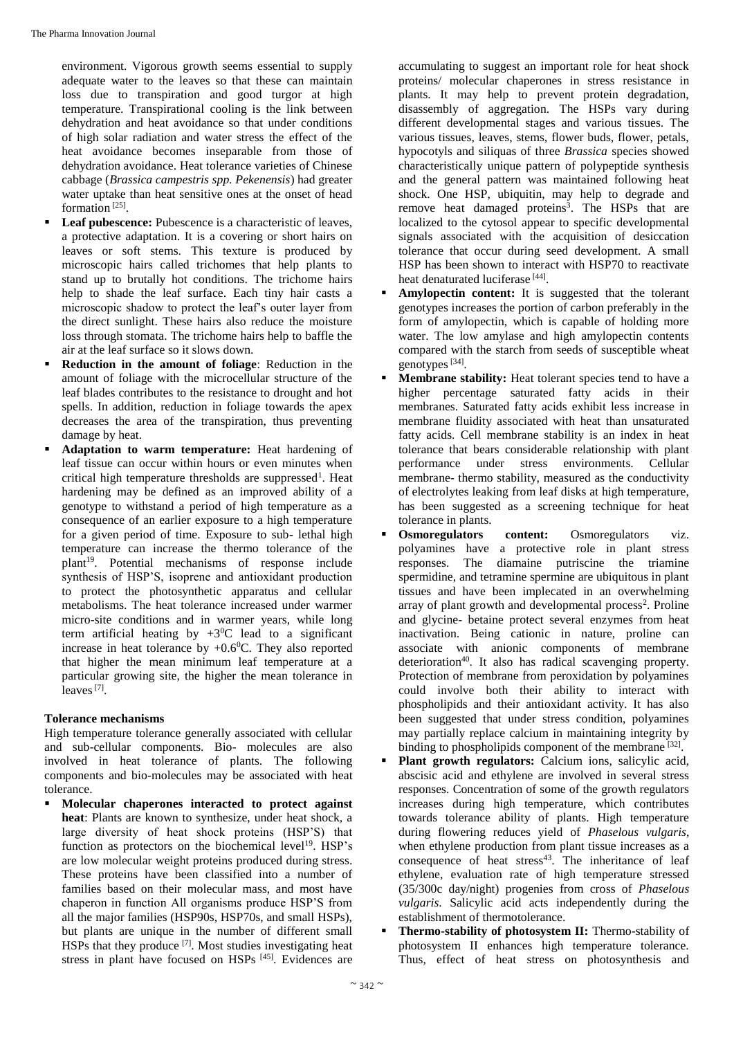environment. Vigorous growth seems essential to supply adequate water to the leaves so that these can maintain loss due to transpiration and good turgor at high temperature. Transpirational cooling is the link between dehydration and heat avoidance so that under conditions of high solar radiation and water stress the effect of the heat avoidance becomes inseparable from those of dehydration avoidance. Heat tolerance varieties of Chinese cabbage (*Brassica campestris spp. Pekenensis*) had greater water uptake than heat sensitive ones at the onset of head formation<sup>[25]</sup>.

- **Leaf pubescence:** Pubescence is a characteristic of leaves, a protective adaptation. It is a covering or short hairs on leaves or soft stems. This texture is produced by microscopic hairs called trichomes that help plants to stand up to brutally hot conditions. The trichome hairs help to shade the leaf surface. Each tiny hair casts a microscopic shadow to protect the leaf's outer layer from the direct sunlight. These hairs also reduce the moisture loss through stomata. The trichome hairs help to baffle the air at the leaf surface so it slows down.
- **Reduction in the amount of foliage**: Reduction in the amount of foliage with the microcellular structure of the leaf blades contributes to the resistance to drought and hot spells. In addition, reduction in foliage towards the apex decreases the area of the transpiration, thus preventing damage by heat.
- **Adaptation to warm temperature:** Heat hardening of leaf tissue can occur within hours or even minutes when critical high temperature thresholds are suppressed<sup>1</sup>. Heat hardening may be defined as an improved ability of a genotype to withstand a period of high temperature as a consequence of an earlier exposure to a high temperature for a given period of time. Exposure to sub- lethal high temperature can increase the thermo tolerance of the plant<sup>19</sup>. Potential mechanisms of response include synthesis of HSP'S, isoprene and antioxidant production to protect the photosynthetic apparatus and cellular metabolisms. The heat tolerance increased under warmer micro-site conditions and in warmer years, while long term artificial heating by  $+3^0C$  lead to a significant increase in heat tolerance by  $+0.6^{\circ}$ C. They also reported that higher the mean minimum leaf temperature at a particular growing site, the higher the mean tolerance in leaves<sup>[7]</sup>.

# **Tolerance mechanisms**

High temperature tolerance generally associated with cellular and sub-cellular components. Bio- molecules are also involved in heat tolerance of plants. The following components and bio-molecules may be associated with heat tolerance.

 **Molecular chaperones interacted to protect against heat**: Plants are known to synthesize, under heat shock, a large diversity of heat shock proteins (HSP'S) that function as protectors on the biochemical level<sup>19</sup>. HSP's are low molecular weight proteins produced during stress. These proteins have been classified into a number of families based on their molecular mass, and most have chaperon in function All organisms produce HSP'S from all the major families (HSP90s, HSP70s, and small HSPs), but plants are unique in the number of different small HSPs that they produce  $[7]$ . Most studies investigating heat stress in plant have focused on HSPs [45]. Evidences are accumulating to suggest an important role for heat shock proteins/ molecular chaperones in stress resistance in plants. It may help to prevent protein degradation, disassembly of aggregation. The HSPs vary during different developmental stages and various tissues. The various tissues, leaves, stems, flower buds, flower, petals, hypocotyls and siliquas of three *Brassica* species showed characteristically unique pattern of polypeptide synthesis and the general pattern was maintained following heat shock. One HSP, ubiquitin, may help to degrade and remove heat damaged proteins<sup>3</sup>. The HSPs that are localized to the cytosol appear to specific developmental signals associated with the acquisition of desiccation tolerance that occur during seed development. A small HSP has been shown to interact with HSP70 to reactivate heat denaturated luciferase<sup>[44]</sup>.

- **Amylopectin content:** It is suggested that the tolerant genotypes increases the portion of carbon preferably in the form of amylopectin, which is capable of holding more water. The low amylase and high amylopectin contents compared with the starch from seeds of susceptible wheat genotypes<sup>[34]</sup>.
- **Membrane stability:** Heat tolerant species tend to have a higher percentage saturated fatty acids in their membranes. Saturated fatty acids exhibit less increase in membrane fluidity associated with heat than unsaturated fatty acids. Cell membrane stability is an index in heat tolerance that bears considerable relationship with plant performance under stress environments. Cellular membrane- thermo stability, measured as the conductivity of electrolytes leaking from leaf disks at high temperature, has been suggested as a screening technique for heat tolerance in plants.
- **Osmoregulators content:** Osmoregulators viz. polyamines have a protective role in plant stress responses. The diamaine putriscine the triamine spermidine, and tetramine spermine are ubiquitous in plant tissues and have been implecated in an overwhelming array of plant growth and developmental process<sup>2</sup>. Proline and glycine- betaine protect several enzymes from heat inactivation. Being cationic in nature, proline can associate with anionic components of membrane deterioration<sup>40</sup>. It also has radical scavenging property. Protection of membrane from peroxidation by polyamines could involve both their ability to interact with phospholipids and their antioxidant activity. It has also been suggested that under stress condition, polyamines may partially replace calcium in maintaining integrity by binding to phospholipids component of the membrane [32].
- **Plant growth regulators:** Calcium ions, salicylic acid, abscisic acid and ethylene are involved in several stress responses. Concentration of some of the growth regulators increases during high temperature, which contributes towards tolerance ability of plants. High temperature during flowering reduces yield of *Phaselous vulgaris*, when ethylene production from plant tissue increases as a consequence of heat  $stress<sup>43</sup>$ . The inheritance of leaf ethylene, evaluation rate of high temperature stressed (35/300c day/night) progenies from cross of *Phaselous vulgaris*. Salicylic acid acts independently during the establishment of thermotolerance.
- **Thermo-stability of photosystem II:** Thermo-stability of photosystem II enhances high temperature tolerance. Thus, effect of heat stress on photosynthesis and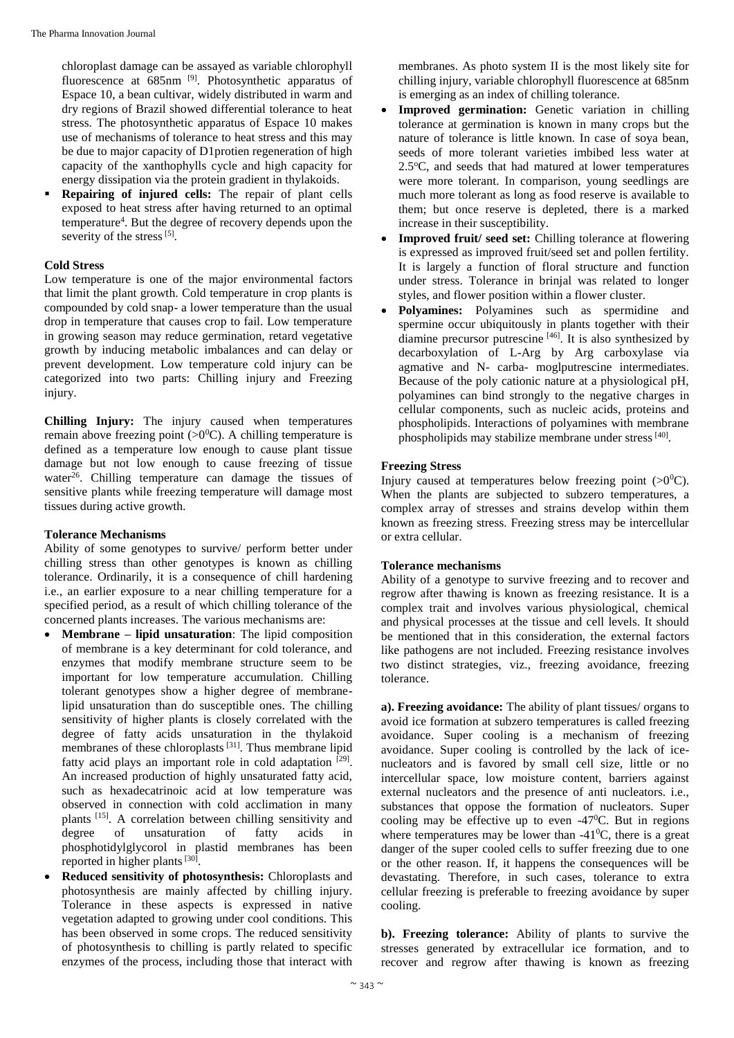chloroplast damage can be assayed as variable chlorophyll fluorescence at 685nm<sup>[9]</sup>. Photosynthetic apparatus of Espace 10, a bean cultivar, widely distributed in warm and dry regions of Brazil showed differential tolerance to heat stress. The photosynthetic apparatus of Espace 10 makes use of mechanisms of tolerance to heat stress and this may be due to major capacity of D1protien regeneration of high capacity of the xanthophylls cycle and high capacity for energy dissipation via the protein gradient in thylakoids.

 **Repairing of injured cells:** The repair of plant cells exposed to heat stress after having returned to an optimal temperature<sup>4</sup> . But the degree of recovery depends upon the severity of the stress<sup>[5]</sup>.

# **Cold Stress**

Low temperature is one of the major environmental factors that limit the plant growth. Cold temperature in crop plants is compounded by cold snap- a lower temperature than the usual drop in temperature that causes crop to fail. Low temperature in growing season may reduce germination, retard vegetative growth by inducing metabolic imbalances and can delay or prevent development. Low temperature cold injury can be categorized into two parts: Chilling injury and Freezing injury.

**Chilling Injury:** The injury caused when temperatures remain above freezing point  $(>0^0C)$ . A chilling temperature is defined as a temperature low enough to cause plant tissue damage but not low enough to cause freezing of tissue water $26$ . Chilling temperature can damage the tissues of sensitive plants while freezing temperature will damage most tissues during active growth.

#### **Tolerance Mechanisms**

Ability of some genotypes to survive/ perform better under chilling stress than other genotypes is known as chilling tolerance. Ordinarily, it is a consequence of chill hardening i.e., an earlier exposure to a near chilling temperature for a specified period, as a result of which chilling tolerance of the concerned plants increases. The various mechanisms are:

- **Membrane – lipid unsaturation**: The lipid composition of membrane is a key determinant for cold tolerance, and enzymes that modify membrane structure seem to be important for low temperature accumulation. Chilling tolerant genotypes show a higher degree of membranelipid unsaturation than do susceptible ones. The chilling sensitivity of higher plants is closely correlated with the degree of fatty acids unsaturation in the thylakoid membranes of these chloroplasts<sup>[31]</sup>. Thus membrane lipid fatty acid plays an important role in cold adaptation [29]. An increased production of highly unsaturated fatty acid, such as hexadecatrinoic acid at low temperature was observed in connection with cold acclimation in many plants [15] . A correlation between chilling sensitivity and degree of unsaturation of fatty acids in phosphotidylglycorol in plastid membranes has been reported in higher plants  $[30]$ .
- **Reduced sensitivity of photosynthesis:** Chloroplasts and photosynthesis are mainly affected by chilling injury. Tolerance in these aspects is expressed in native vegetation adapted to growing under cool conditions. This has been observed in some crops. The reduced sensitivity of photosynthesis to chilling is partly related to specific enzymes of the process, including those that interact with

membranes. As photo system II is the most likely site for chilling injury, variable chlorophyll fluorescence at 685nm is emerging as an index of chilling tolerance.

- **Improved germination:** Genetic variation in chilling tolerance at germination is known in many crops but the nature of tolerance is little known. In case of soya bean, seeds of more tolerant varieties imbibed less water at  $2.5^{\circ}$ C, and seeds that had matured at lower temperatures were more tolerant. In comparison, young seedlings are much more tolerant as long as food reserve is available to them; but once reserve is depleted, there is a marked increase in their susceptibility.
- **Improved fruit/ seed set:** Chilling tolerance at flowering is expressed as improved fruit/seed set and pollen fertility. It is largely a function of floral structure and function under stress. Tolerance in brinjal was related to longer styles, and flower position within a flower cluster.
- **Polyamines:** Polyamines such as spermidine and spermine occur ubiquitously in plants together with their diamine precursor putrescine [46] . It is also synthesized by decarboxylation of L-Arg by Arg carboxylase via agmative and N- carba- moglputrescine intermediates. Because of the poly cationic nature at a physiological pH, polyamines can bind strongly to the negative charges in cellular components, such as nucleic acids, proteins and phospholipids. Interactions of polyamines with membrane phospholipids may stabilize membrane under stress<sup>[40]</sup>.

#### **Freezing Stress**

Injury caused at temperatures below freezing point  $(0)^\circ$ C). When the plants are subjected to subzero temperatures, a complex array of stresses and strains develop within them known as freezing stress. Freezing stress may be intercellular or extra cellular.

# **Tolerance mechanisms**

Ability of a genotype to survive freezing and to recover and regrow after thawing is known as freezing resistance. It is a complex trait and involves various physiological, chemical and physical processes at the tissue and cell levels. It should be mentioned that in this consideration, the external factors like pathogens are not included. Freezing resistance involves two distinct strategies, viz., freezing avoidance, freezing tolerance.

**a). Freezing avoidance:** The ability of plant tissues/ organs to avoid ice formation at subzero temperatures is called freezing avoidance. Super cooling is a mechanism of freezing avoidance. Super cooling is controlled by the lack of icenucleators and is favored by small cell size, little or no intercellular space, low moisture content, barriers against external nucleators and the presence of anti nucleators. i.e., substances that oppose the formation of nucleators. Super cooling may be effective up to even  $-47^{\circ}$ C. But in regions where temperatures may be lower than  $-41^{\circ}$ C, there is a great danger of the super cooled cells to suffer freezing due to one or the other reason. If, it happens the consequences will be devastating. Therefore, in such cases, tolerance to extra cellular freezing is preferable to freezing avoidance by super cooling.

**b). Freezing tolerance:** Ability of plants to survive the stresses generated by extracellular ice formation, and to recover and regrow after thawing is known as freezing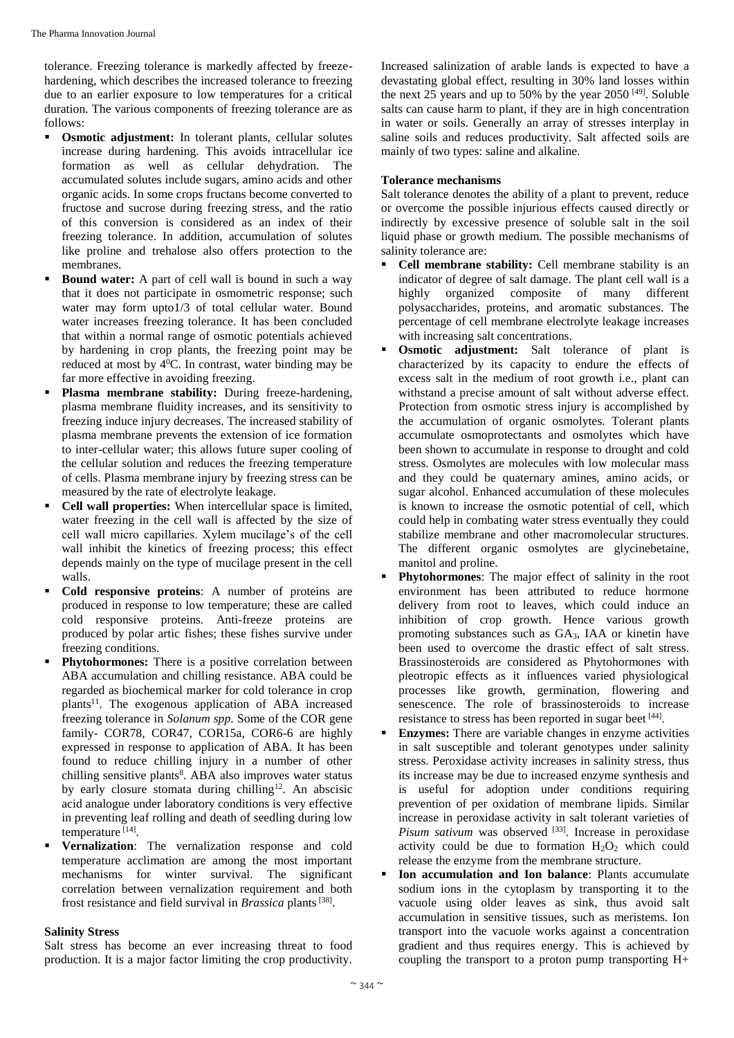tolerance. Freezing tolerance is markedly affected by freezehardening, which describes the increased tolerance to freezing due to an earlier exposure to low temperatures for a critical duration. The various components of freezing tolerance are as follows:

- **Osmotic adjustment:** In tolerant plants, cellular solutes increase during hardening. This avoids intracellular ice formation as well as cellular dehydration. The accumulated solutes include sugars, amino acids and other organic acids. In some crops fructans become converted to fructose and sucrose during freezing stress, and the ratio of this conversion is considered as an index of their freezing tolerance. In addition, accumulation of solutes like proline and trehalose also offers protection to the membranes.
- **Bound water:** A part of cell wall is bound in such a way that it does not participate in osmometric response; such water may form upto1/3 of total cellular water. Bound water increases freezing tolerance. It has been concluded that within a normal range of osmotic potentials achieved by hardening in crop plants, the freezing point may be reduced at most by 4<sup>0</sup>C. In contrast, water binding may be far more effective in avoiding freezing.
- **Plasma membrane stability:** During freeze-hardening, plasma membrane fluidity increases, and its sensitivity to freezing induce injury decreases. The increased stability of plasma membrane prevents the extension of ice formation to inter-cellular water; this allows future super cooling of the cellular solution and reduces the freezing temperature of cells. Plasma membrane injury by freezing stress can be measured by the rate of electrolyte leakage.
- **Cell wall properties:** When intercellular space is limited, water freezing in the cell wall is affected by the size of cell wall micro capillaries. Xylem mucilage's of the cell wall inhibit the kinetics of freezing process; this effect depends mainly on the type of mucilage present in the cell walls.
- **Cold responsive proteins**: A number of proteins are produced in response to low temperature; these are called cold responsive proteins. Anti-freeze proteins are produced by polar artic fishes; these fishes survive under freezing conditions.
- **Phytohormones:** There is a positive correlation between ABA accumulation and chilling resistance. ABA could be regarded as biochemical marker for cold tolerance in crop plants<sup>11</sup>. The exogenous application of ABA increased freezing tolerance in *Solanum spp.* Some of the COR gene family- COR78, COR47, COR15a, COR6-6 are highly expressed in response to application of ABA. It has been found to reduce chilling injury in a number of other chilling sensitive plants<sup>8</sup>. ABA also improves water status by early closure stomata during chilling<sup>12</sup>. An abscisic acid analogue under laboratory conditions is very effective in preventing leaf rolling and death of seedling during low temperature [14] .
- **Vernalization**: The vernalization response and cold temperature acclimation are among the most important mechanisms for winter survival. The significant correlation between vernalization requirement and both frost resistance and field survival in *Brassica* plants<sup>[38]</sup>.

#### **Salinity Stress**

Salt stress has become an ever increasing threat to food production. It is a major factor limiting the crop productivity.

Increased salinization of arable lands is expected to have a devastating global effect, resulting in 30% land losses within the next 25 years and up to 50% by the year  $2050^{[49]}$ . Soluble salts can cause harm to plant, if they are in high concentration in water or soils. Generally an array of stresses interplay in saline soils and reduces productivity. Salt affected soils are mainly of two types: saline and alkaline.

# **Tolerance mechanisms**

Salt tolerance denotes the ability of a plant to prevent, reduce or overcome the possible injurious effects caused directly or indirectly by excessive presence of soluble salt in the soil liquid phase or growth medium. The possible mechanisms of salinity tolerance are:

- **Cell membrane stability:** Cell membrane stability is an indicator of degree of salt damage. The plant cell wall is a highly organized composite of many different polysaccharides, proteins, and aromatic substances. The percentage of cell membrane electrolyte leakage increases with increasing salt concentrations.
- **Osmotic adjustment:** Salt tolerance of plant is characterized by its capacity to endure the effects of excess salt in the medium of root growth i.e., plant can withstand a precise amount of salt without adverse effect. Protection from osmotic stress injury is accomplished by the accumulation of organic osmolytes. Tolerant plants accumulate osmoprotectants and osmolytes which have been shown to accumulate in response to drought and cold stress. Osmolytes are molecules with low molecular mass and they could be quaternary amines, amino acids, or sugar alcohol. Enhanced accumulation of these molecules is known to increase the osmotic potential of cell, which could help in combating water stress eventually they could stabilize membrane and other macromolecular structures. The different organic osmolytes are glycinebetaine, manitol and proline.
- **Phytohormones**: The major effect of salinity in the root environment has been attributed to reduce hormone delivery from root to leaves, which could induce an inhibition of crop growth. Hence various growth promoting substances such as GA3, IAA or kinetin have been used to overcome the drastic effect of salt stress. Brassinosteroids are considered as Phytohormones with pleotropic effects as it influences varied physiological processes like growth, germination, flowering and senescence. The role of brassinosteroids to increase resistance to stress has been reported in sugar beet [44].
- **Enzymes:** There are variable changes in enzyme activities in salt susceptible and tolerant genotypes under salinity stress. Peroxidase activity increases in salinity stress, thus its increase may be due to increased enzyme synthesis and is useful for adoption under conditions requiring prevention of per oxidation of membrane lipids. Similar increase in peroxidase activity in salt tolerant varieties of Pisum sativum was observed <sup>[33]</sup>. Increase in peroxidase activity could be due to formation  $H_2O_2$  which could release the enzyme from the membrane structure.
- **Ion accumulation and Ion balance**: Plants accumulate sodium ions in the cytoplasm by transporting it to the vacuole using older leaves as sink, thus avoid salt accumulation in sensitive tissues, such as meristems. Ion transport into the vacuole works against a concentration gradient and thus requires energy. This is achieved by coupling the transport to a proton pump transporting H+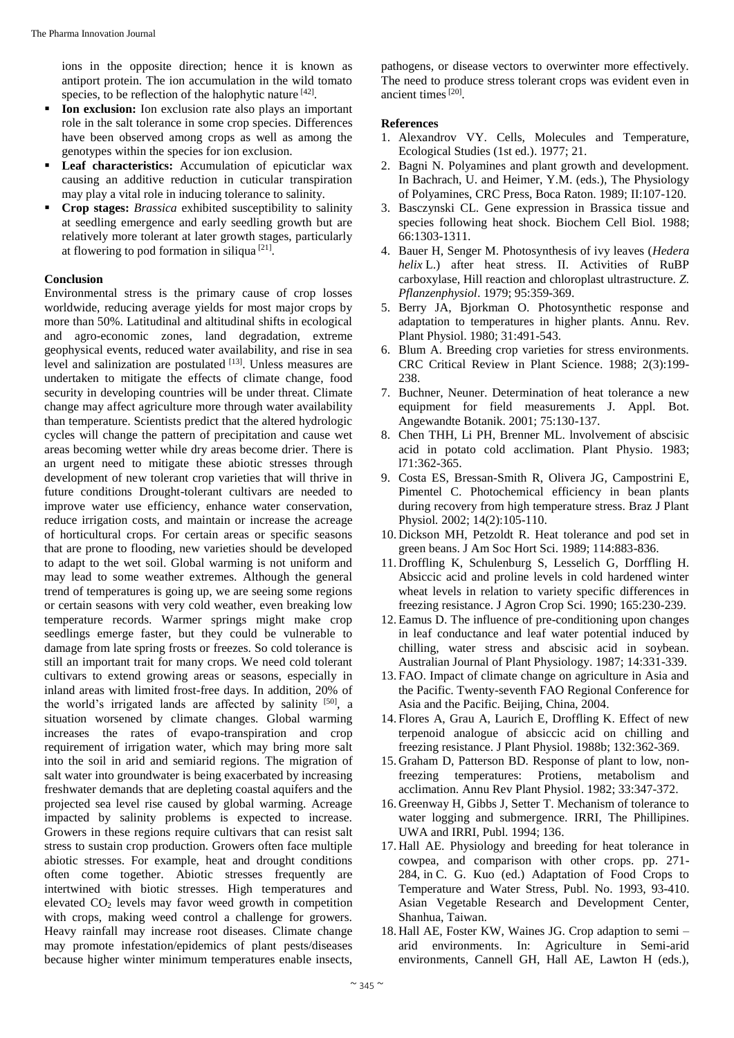ions in the opposite direction; hence it is known as antiport protein. The ion accumulation in the wild tomato species, to be reflection of the halophytic nature [42].

- **Ion exclusion:** Ion exclusion rate also plays an important role in the salt tolerance in some crop species. Differences have been observed among crops as well as among the genotypes within the species for ion exclusion.
- **Leaf characteristics:** Accumulation of epicuticlar wax causing an additive reduction in cuticular transpiration may play a vital role in inducing tolerance to salinity.
- **Crop stages:** *Brassica* exhibited susceptibility to salinity at seedling emergence and early seedling growth but are relatively more tolerant at later growth stages, particularly at flowering to pod formation in siliqua<sup>[21]</sup>.

#### **Conclusion**

Environmental stress is the primary cause of crop losses worldwide, reducing average yields for most major crops by more than 50%. Latitudinal and altitudinal shifts in ecological and agro-economic zones, land degradation, extreme geophysical events, reduced water availability, and rise in sea level and salinization are postulated [13]. Unless measures are undertaken to mitigate the effects of climate change, food security in developing countries will be under threat. Climate change may affect agriculture more through water availability than temperature. Scientists predict that the altered hydrologic cycles will change the pattern of precipitation and cause wet areas becoming wetter while dry areas become drier. There is an urgent need to mitigate these abiotic stresses through development of new tolerant crop varieties that will thrive in future conditions Drought-tolerant cultivars are needed to improve water use efficiency, enhance water conservation, reduce irrigation costs, and maintain or increase the acreage of horticultural crops. For certain areas or specific seasons that are prone to flooding, new varieties should be developed to adapt to the wet soil. Global warming is not uniform and may lead to some weather extremes. Although the general trend of temperatures is going up, we are seeing some regions or certain seasons with very cold weather, even breaking low temperature records. Warmer springs might make crop seedlings emerge faster, but they could be vulnerable to damage from late spring frosts or freezes. So cold tolerance is still an important trait for many crops. We need cold tolerant cultivars to extend growing areas or seasons, especially in inland areas with limited frost-free days. In addition, 20% of the world's irrigated lands are affected by salinity [50], a situation worsened by climate changes. Global warming increases the rates of evapo-transpiration and crop requirement of irrigation water, which may bring more salt into the soil in arid and semiarid regions. The migration of salt water into groundwater is being exacerbated by increasing freshwater demands that are depleting coastal aquifers and the projected sea level rise caused by global warming. Acreage impacted by salinity problems is expected to increase. Growers in these regions require cultivars that can resist salt stress to sustain crop production. Growers often face multiple abiotic stresses. For example, heat and drought conditions often come together. Abiotic stresses frequently are intertwined with biotic stresses. High temperatures and elevated CO<sup>2</sup> levels may favor weed growth in competition with crops, making weed control a challenge for growers. Heavy rainfall may increase root diseases. Climate change may promote infestation/epidemics of plant pests/diseases because higher winter minimum temperatures enable insects,

pathogens, or disease vectors to overwinter more effectively. The need to produce stress tolerant crops was evident even in ancient times<sup>[20]</sup>.

# **References**

- 1. Alexandrov VY. Cells, Molecules and Temperature, Ecological Studies (1st ed.). 1977; 21.
- 2. Bagni N. Polyamines and plant growth and development. In Bachrach, U. and Heimer, Y.M. (eds.), The Physiology of Polyamines, CRC Press, Boca Raton. 1989; II:107-120.
- 3. Basczynski CL. Gene expression in Brassica tissue and species following heat shock. Biochem Cell Biol*.* 1988; 66:1303-1311.
- 4. Bauer H, Senger M. Photosynthesis of ivy leaves (*Hedera helix* L.) after heat stress. II. Activities of RuBP carboxylase, Hill reaction and chloroplast ultrastructure. *Z. Pflanzenphysiol*. 1979; 95:359-369.
- 5. Berry JA, Bjorkman O. Photosynthetic response and adaptation to temperatures in higher plants. Annu. Rev. Plant Physiol. 1980; 31:491-543.
- 6. Blum A. Breeding crop varieties for stress environments. CRC Critical Review in Plant Science. 1988; 2(3):199- 238
- 7. Buchner, Neuner. Determination of heat tolerance a new equipment for field measurements J. Appl. Bot. Angewandte Botanik. 2001; 75:130-137.
- 8. Chen THH, Li PH, Brenner ML. lnvolvement of abscisic acid in potato cold acclimation. Plant Physio. 1983; l71:362-365.
- 9. Costa ES, Bressan-Smith R, Olivera JG, Campostrini E, Pimentel C. Photochemical efficiency in bean plants during recovery from high temperature stress. Braz J Plant Physiol*.* 2002; 14(2):105-110.
- 10. Dickson MH, Petzoldt R. Heat tolerance and pod set in green beans. J Am Soc Hort Sci. 1989; 114:883-836.
- 11. Droffling K, Schulenburg S, Lesselich G, Dorffling H. Absiccic acid and proline levels in cold hardened winter wheat levels in relation to variety specific differences in freezing resistance. J Agron Crop Sci. 1990; 165:230-239.
- 12. Eamus D. The influence of pre-conditioning upon changes in leaf conductance and leaf water potential induced by chilling, water stress and abscisic acid in soybean. Australian Journal of Plant Physiology. 1987; 14:331-339.
- 13. FAO. Impact of climate change on agriculture in Asia and the Pacific. Twenty-seventh FAO Regional Conference for Asia and the Pacific. Beijing, China, 2004.
- 14. Flores A, Grau A, Laurich E, Droffling K. Effect of new terpenoid analogue of absiccic acid on chilling and freezing resistance. J Plant Physiol. 1988b; 132:362-369.
- 15. Graham D, Patterson BD. Response of plant to low, nonfreezing temperatures: Protiens, metabolism and acclimation. Annu Rev Plant Physiol. 1982; 33:347-372.
- 16. Greenway H, Gibbs J, Setter T. Mechanism of tolerance to water logging and submergence*.* IRRI, The Phillipines. UWA and IRRI, Publ. 1994; 136.
- 17. Hall AE. Physiology and breeding for heat tolerance in cowpea, and comparison with other crops. pp. 271- 284, in C. G. Kuo (ed.) Adaptation of Food Crops to Temperature and Water Stress, Publ. No. 1993, 93-410. Asian Vegetable Research and Development Center, Shanhua, Taiwan.
- 18. Hall AE, Foster KW, Waines JG. Crop adaption to semi arid environments. In: Agriculture in Semi-arid environments, Cannell GH, Hall AE, Lawton H (eds.),